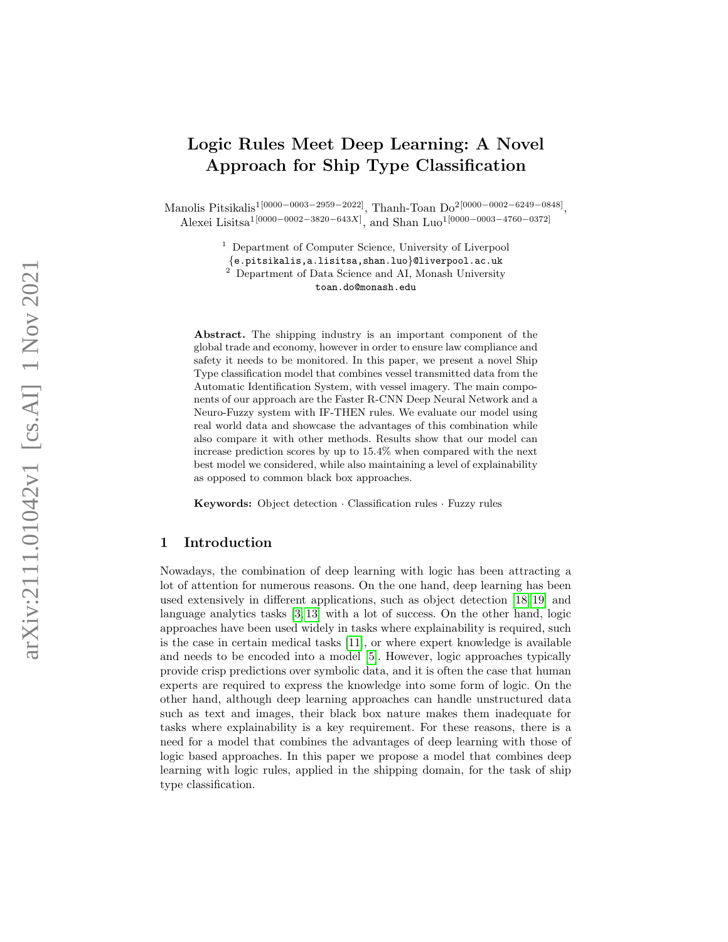# Logic Rules Meet Deep Learning: A Novel Approach for Ship Type Classification

Manolis Pitsikalis<sup>1[0000–0003–2959–2022]</sup>, Thanh-Toan Do<sup>2[0000–0002–6249–0848]</sup>, Alexei Lisitsa<sup>1</sup><sup>[0000–0002–3820–643X]</sup>, and Shan Luo<sup>1</sup><sup>[0000–0003–4760–0372]</sup>

> <sup>1</sup> Department of Computer Science, University of Liverpool {e.pitsikalis,a.lisitsa,shan.luo}@liverpool.ac.uk <sup>2</sup> Department of Data Science and AI, Monash University toan.do@monash.edu

Abstract. The shipping industry is an important component of the global trade and economy, however in order to ensure law compliance and safety it needs to be monitored. In this paper, we present a novel Ship Type classification model that combines vessel transmitted data from the Automatic Identification System, with vessel imagery. The main components of our approach are the Faster R-CNN Deep Neural Network and a Neuro-Fuzzy system with IF-THEN rules. We evaluate our model using real world data and showcase the advantages of this combination while also compare it with other methods. Results show that our model can increase prediction scores by up to 15.4% when compared with the next best model we considered, while also maintaining a level of explainability as opposed to common black box approaches.

Keywords: Object detection · Classification rules · Fuzzy rules

# 1 Introduction

Nowadays, the combination of deep learning with logic has been attracting a lot of attention for numerous reasons. On the one hand, deep learning has been used extensively in different applications, such as object detection [\[18,](#page-14-0) [19\]](#page-14-1) and language analytics tasks [\[3,](#page-14-2) [13\]](#page-14-3) with a lot of success. On the other hand, logic approaches have been used widely in tasks where explainability is required, such is the case in certain medical tasks [\[11\]](#page-14-4), or where expert knowledge is available and needs to be encoded into a model [\[5\]](#page-14-5). However, logic approaches typically provide crisp predictions over symbolic data, and it is often the case that human experts are required to express the knowledge into some form of logic. On the other hand, although deep learning approaches can handle unstructured data such as text and images, their black box nature makes them inadequate for tasks where explainability is a key requirement. For these reasons, there is a need for a model that combines the advantages of deep learning with those of logic based approaches. In this paper we propose a model that combines deep learning with logic rules, applied in the shipping domain, for the task of ship type classification.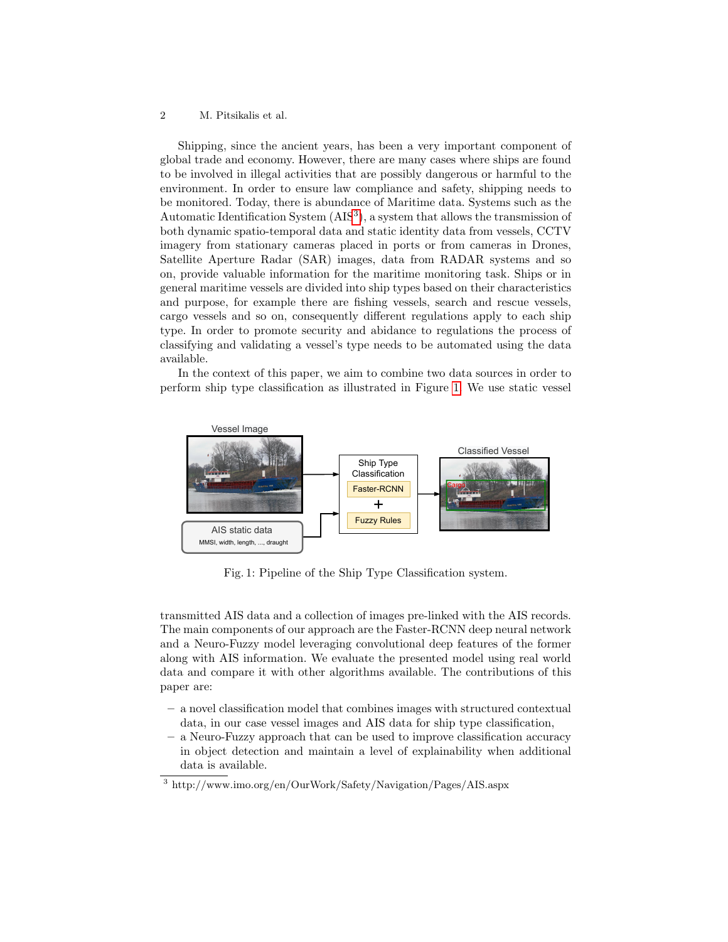Shipping, since the ancient years, has been a very important component of global trade and economy. However, there are many cases where ships are found to be involved in illegal activities that are possibly dangerous or harmful to the environment. In order to ensure law compliance and safety, shipping needs to be monitored. Today, there is abundance of Maritime data. Systems such as the Automatic Identification System  $(AB<sup>3</sup>)$  $(AB<sup>3</sup>)$  $(AB<sup>3</sup>)$ , a system that allows the transmission of both dynamic spatio-temporal data and static identity data from vessels, CCTV imagery from stationary cameras placed in ports or from cameras in Drones, Satellite Aperture Radar (SAR) images, data from RADAR systems and so on, provide valuable information for the maritime monitoring task. Ships or in general maritime vessels are divided into ship types based on their characteristics and purpose, for example there are fishing vessels, search and rescue vessels, cargo vessels and so on, consequently different regulations apply to each ship type. In order to promote security and abidance to regulations the process of classifying and validating a vessel's type needs to be automated using the data available.

In the context of this paper, we aim to combine two data sources in order to perform ship type classification as illustrated in Figure [1.](#page-1-1) We use static vessel

<span id="page-1-1"></span>

Fig. 1: Pipeline of the Ship Type Classification system.

transmitted AIS data and a collection of images pre-linked with the AIS records. The main components of our approach are the Faster-RCNN deep neural network and a Neuro-Fuzzy model leveraging convolutional deep features of the former along with AIS information. We evaluate the presented model using real world data and compare it with other algorithms available. The contributions of this paper are:

- a novel classification model that combines images with structured contextual data, in our case vessel images and AIS data for ship type classification,
- a Neuro-Fuzzy approach that can be used to improve classification accuracy in object detection and maintain a level of explainability when additional data is available.

<span id="page-1-0"></span> $^3$ http://www.imo.org/en/OurWork/Safety/Navigation/Pages/AIS.aspx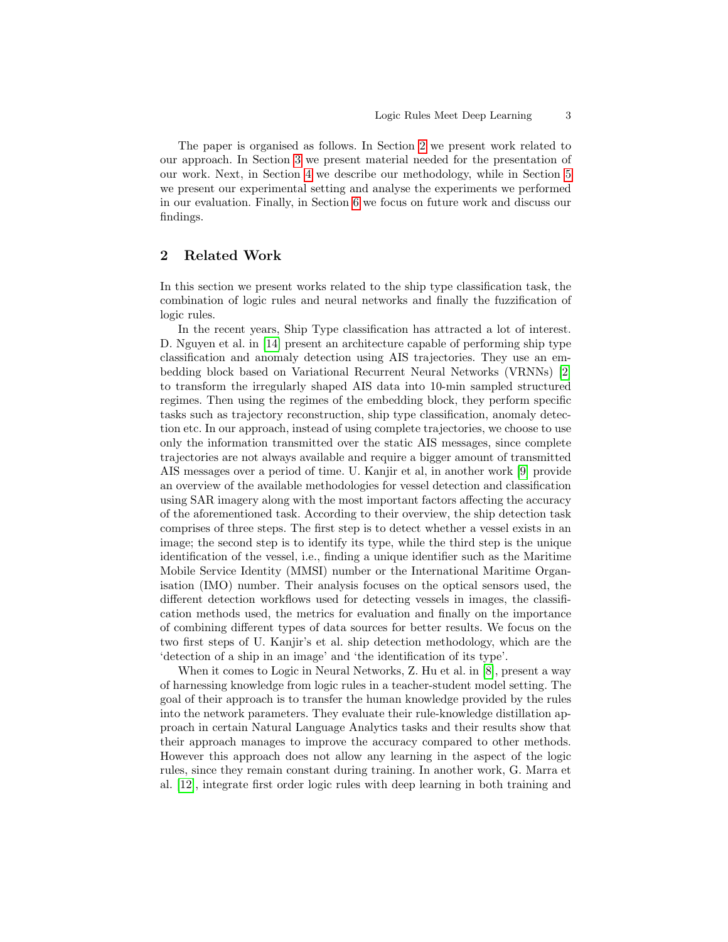The paper is organised as follows. In Section [2](#page-2-0) we present work related to our approach. In Section [3](#page-3-0) we present material needed for the presentation of our work. Next, in Section [4](#page-4-0) we describe our methodology, while in Section [5](#page-7-0) we present our experimental setting and analyse the experiments we performed in our evaluation. Finally, in Section [6](#page-13-0) we focus on future work and discuss our findings.

# <span id="page-2-0"></span>2 Related Work

In this section we present works related to the ship type classification task, the combination of logic rules and neural networks and finally the fuzzification of logic rules.

In the recent years, Ship Type classification has attracted a lot of interest. D. Nguyen et al. in [\[14\]](#page-14-6) present an architecture capable of performing ship type classification and anomaly detection using AIS trajectories. They use an embedding block based on Variational Recurrent Neural Networks (VRNNs) [\[2\]](#page-13-1) to transform the irregularly shaped AIS data into 10-min sampled structured regimes. Then using the regimes of the embedding block, they perform specific tasks such as trajectory reconstruction, ship type classification, anomaly detection etc. In our approach, instead of using complete trajectories, we choose to use only the information transmitted over the static AIS messages, since complete trajectories are not always available and require a bigger amount of transmitted AIS messages over a period of time. U. Kanjir et al, in another work [\[9\]](#page-14-7) provide an overview of the available methodologies for vessel detection and classification using SAR imagery along with the most important factors affecting the accuracy of the aforementioned task. According to their overview, the ship detection task comprises of three steps. The first step is to detect whether a vessel exists in an image; the second step is to identify its type, while the third step is the unique identification of the vessel, i.e., finding a unique identifier such as the Maritime Mobile Service Identity (MMSI) number or the International Maritime Organisation (IMO) number. Their analysis focuses on the optical sensors used, the different detection workflows used for detecting vessels in images, the classification methods used, the metrics for evaluation and finally on the importance of combining different types of data sources for better results. We focus on the two first steps of U. Kanjir's et al. ship detection methodology, which are the 'detection of a ship in an image' and 'the identification of its type'.

When it comes to Logic in Neural Networks, Z. Hu et al. in [\[8\]](#page-14-8), present a way of harnessing knowledge from logic rules in a teacher-student model setting. The goal of their approach is to transfer the human knowledge provided by the rules into the network parameters. They evaluate their rule-knowledge distillation approach in certain Natural Language Analytics tasks and their results show that their approach manages to improve the accuracy compared to other methods. However this approach does not allow any learning in the aspect of the logic rules, since they remain constant during training. In another work, G. Marra et al. [\[12\]](#page-14-9), integrate first order logic rules with deep learning in both training and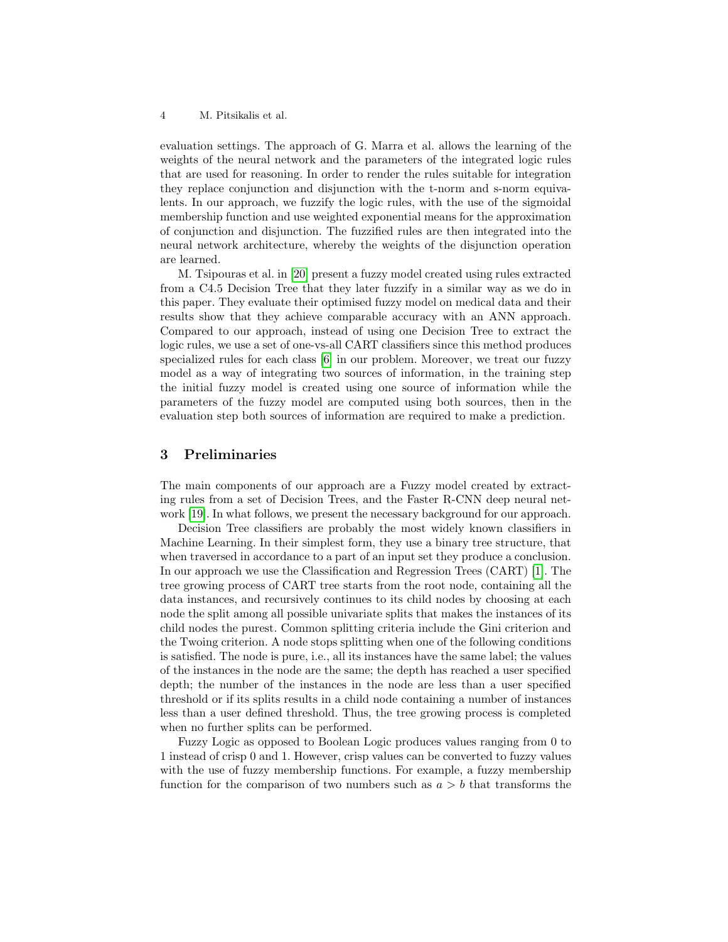evaluation settings. The approach of G. Marra et al. allows the learning of the weights of the neural network and the parameters of the integrated logic rules that are used for reasoning. In order to render the rules suitable for integration they replace conjunction and disjunction with the t-norm and s-norm equivalents. In our approach, we fuzzify the logic rules, with the use of the sigmoidal membership function and use weighted exponential means for the approximation of conjunction and disjunction. The fuzzified rules are then integrated into the neural network architecture, whereby the weights of the disjunction operation are learned.

M. Tsipouras et al. in [\[20\]](#page-14-10) present a fuzzy model created using rules extracted from a C4.5 Decision Tree that they later fuzzify in a similar way as we do in this paper. They evaluate their optimised fuzzy model on medical data and their results show that they achieve comparable accuracy with an ANN approach. Compared to our approach, instead of using one Decision Tree to extract the logic rules, we use a set of one-vs-all CART classifiers since this method produces specialized rules for each class [\[6\]](#page-14-11) in our problem. Moreover, we treat our fuzzy model as a way of integrating two sources of information, in the training step the initial fuzzy model is created using one source of information while the parameters of the fuzzy model are computed using both sources, then in the evaluation step both sources of information are required to make a prediction.

## <span id="page-3-0"></span>3 Preliminaries

The main components of our approach are a Fuzzy model created by extracting rules from a set of Decision Trees, and the Faster R-CNN deep neural network [\[19\]](#page-14-1). In what follows, we present the necessary background for our approach.

Decision Tree classifiers are probably the most widely known classifiers in Machine Learning. In their simplest form, they use a binary tree structure, that when traversed in accordance to a part of an input set they produce a conclusion. In our approach we use the Classification and Regression Trees (CART) [\[1\]](#page-13-2). The tree growing process of CART tree starts from the root node, containing all the data instances, and recursively continues to its child nodes by choosing at each node the split among all possible univariate splits that makes the instances of its child nodes the purest. Common splitting criteria include the Gini criterion and the Twoing criterion. A node stops splitting when one of the following conditions is satisfied. The node is pure, i.e., all its instances have the same label; the values of the instances in the node are the same; the depth has reached a user specified depth; the number of the instances in the node are less than a user specified threshold or if its splits results in a child node containing a number of instances less than a user defined threshold. Thus, the tree growing process is completed when no further splits can be performed.

Fuzzy Logic as opposed to Boolean Logic produces values ranging from 0 to 1 instead of crisp 0 and 1. However, crisp values can be converted to fuzzy values with the use of fuzzy membership functions. For example, a fuzzy membership function for the comparison of two numbers such as  $a > b$  that transforms the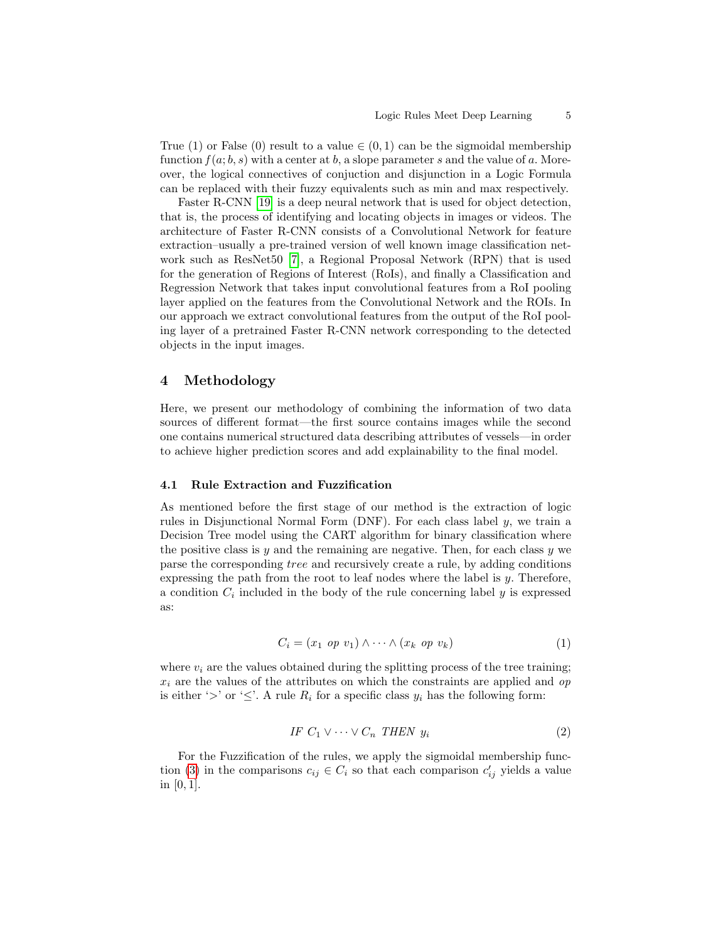True (1) or False (0) result to a value  $\in (0, 1)$  can be the sigmoidal membership function  $f(a; b, s)$  with a center at b, a slope parameter s and the value of a. Moreover, the logical connectives of conjuction and disjunction in a Logic Formula can be replaced with their fuzzy equivalents such as min and max respectively.

Faster R-CNN [\[19\]](#page-14-1) is a deep neural network that is used for object detection, that is, the process of identifying and locating objects in images or videos. The architecture of Faster R-CNN consists of a Convolutional Network for feature extraction–usually a pre-trained version of well known image classification network such as ResNet50 [\[7\]](#page-14-12), a Regional Proposal Network (RPN) that is used for the generation of Regions of Interest (RoIs), and finally a Classification and Regression Network that takes input convolutional features from a RoI pooling layer applied on the features from the Convolutional Network and the ROIs. In our approach we extract convolutional features from the output of the RoI pooling layer of a pretrained Faster R-CNN network corresponding to the detected objects in the input images.

# <span id="page-4-0"></span>4 Methodology

Here, we present our methodology of combining the information of two data sources of different format—the first source contains images while the second one contains numerical structured data describing attributes of vessels—in order to achieve higher prediction scores and add explainability to the final model.

### <span id="page-4-1"></span>4.1 Rule Extraction and Fuzzification

As mentioned before the first stage of our method is the extraction of logic rules in Disjunctional Normal Form (DNF). For each class label y, we train a Decision Tree model using the CART algorithm for binary classification where the positive class is  $y$  and the remaining are negative. Then, for each class  $y$  we parse the corresponding tree and recursively create a rule, by adding conditions expressing the path from the root to leaf nodes where the label is  $y$ . Therefore, a condition  $C_i$  included in the body of the rule concerning label  $y$  is expressed as:

$$
C_i = (x_1 \text{ op } v_1) \land \dots \land (x_k \text{ op } v_k) \tag{1}
$$

where  $v_i$  are the values obtained during the splitting process of the tree training;  $x_i$  are the values of the attributes on which the constraints are applied and op is either '>' or ' $\leq'$ . A rule  $R_i$  for a specific class  $y_i$  has the following form:

$$
IF C_1 \vee \cdots \vee C_n \quad THEN \quad y_i \tag{2}
$$

For the Fuzzification of the rules, we apply the sigmoidal membership func-tion [\(3\)](#page-5-0) in the comparisons  $c_{ij} \in C_i$  so that each comparison  $c'_{ij}$  yields a value in [0, 1].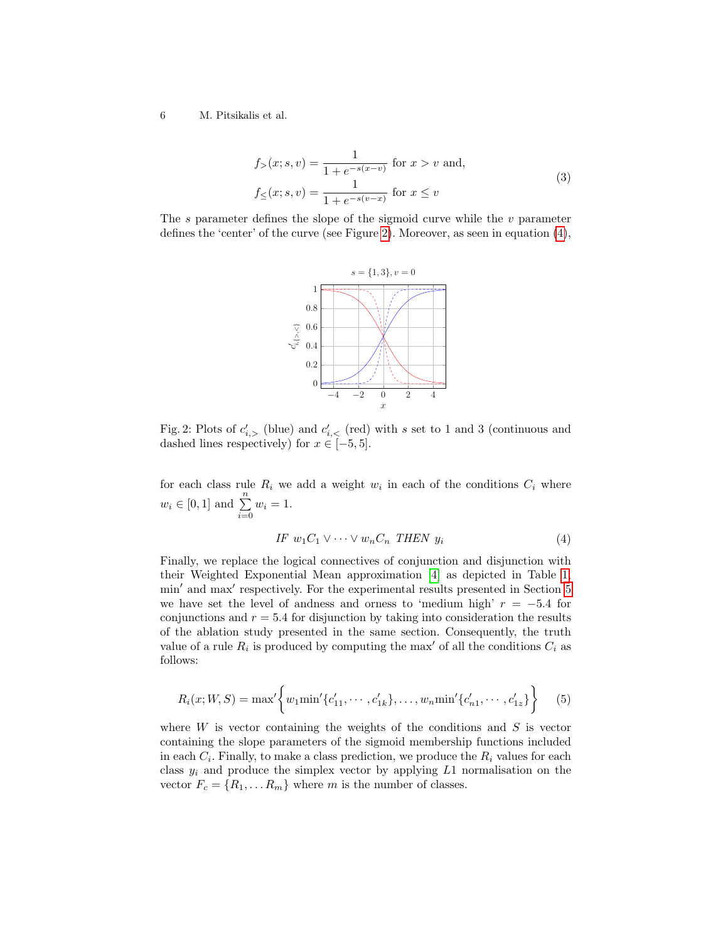<span id="page-5-0"></span>
$$
f_{>}(x; s, v) = \frac{1}{1 + e^{-s(x-v)}} \text{ for } x > v \text{ and,}
$$
  

$$
f_{\leq}(x; s, v) = \frac{1}{1 + e^{-s(v-x)}} \text{ for } x \leq v
$$
 (3)

<span id="page-5-1"></span>The s parameter defines the slope of the sigmoid curve while the  $v$  parameter defines the 'center' of the curve (see Figure [2\)](#page-5-1). Moreover, as seen in equation [\(4\)](#page-5-2),



Fig. 2: Plots of  $c'_{i,>}$  (blue) and  $c'_{i,<}$  (red) with s set to 1 and 3 (continuous and dashed lines respectively) for  $x \in [-5, 5]$ .

for each class rule  $R_i$  we add a weight  $w_i$  in each of the conditions  $C_i$  where  $w_i \in [0, 1]$  and  $\sum_{i=0}^{n} w_i = 1$ .

<span id="page-5-2"></span>
$$
IF \ w_1 C_1 \vee \cdots \vee w_n C_n \ THEN \ y_i \tag{4}
$$

Finally, we replace the logical connectives of conjunction and disjunction with their Weighted Exponential Mean approximation [\[4\]](#page-14-13) as depicted in Table [1,](#page-6-0) min' and max' respectively. For the experimental results presented in Section [5](#page-7-0) we have set the level of andness and orness to 'medium high'  $r = -5.4$  for conjunctions and  $r = 5.4$  for disjunction by taking into consideration the results of the ablation study presented in the same section. Consequently, the truth value of a rule  $R_i$  is produced by computing the max' of all the conditions  $C_i$  as follows:

$$
R_i(x;W,S) = \max\left\{w_1 \min\left\{c'_{11}, \cdots, c'_{1k}\right\}, \ldots, w_n \min\left\{c'_{n1}, \cdots, c'_{1z}\right\}\right\}
$$
(5)

where  $W$  is vector containing the weights of the conditions and  $S$  is vector containing the slope parameters of the sigmoid membership functions included in each  $C_i$ . Finally, to make a class prediction, we produce the  $R_i$  values for each class  $y_i$  and produce the simplex vector by applying  $L1$  normalisation on the vector  $F_c = \{R_1, \ldots R_m\}$  where m is the number of classes.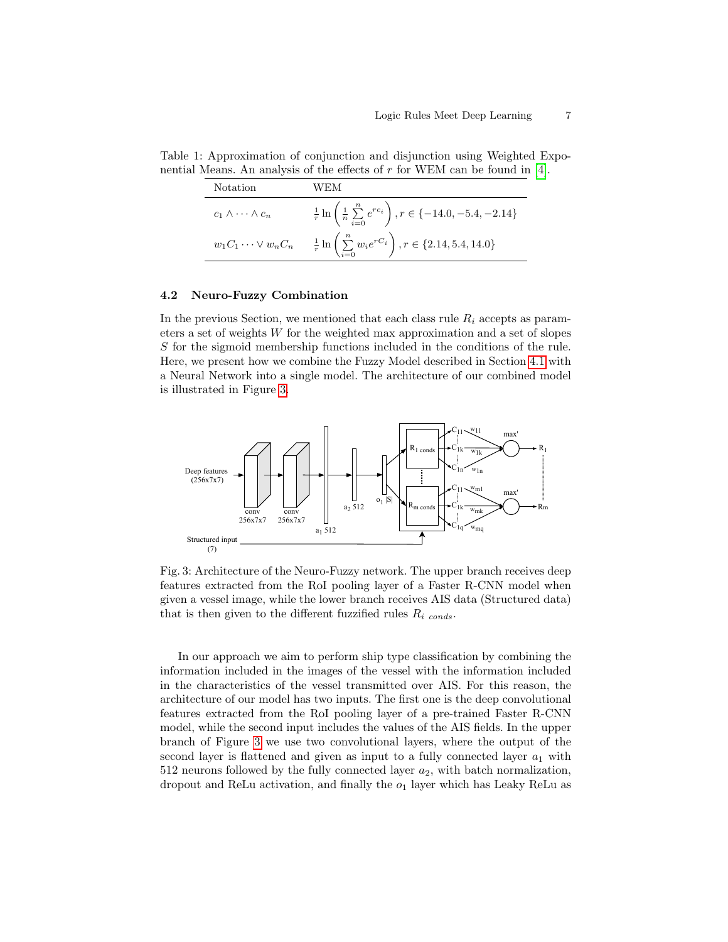|                                | $\frac{1}{2}$                                                                                |
|--------------------------------|----------------------------------------------------------------------------------------------|
| Notation                       | WEM                                                                                          |
| $c_1 \wedge \cdots \wedge c_n$ | $\frac{1}{r}\ln\left(\frac{1}{n}\sum_{i=0}^{n}e^{rc_i}\right), r \in \{-14.0, -5.4, -2.14\}$ |
| $w_1C_1\cdots\vee w_nC_n$      | $\frac{1}{r}\ln\left(\sum_{i=0}^n w_i e^{rC_i}\right), r \in \{2.14, 5.4, 14.0\}$            |

<span id="page-6-0"></span>Table 1: Approximation of conjunction and disjunction using Weighted Exponential Means. An analysis of the effects of  $r$  for WEM can be found in [\[4\]](#page-14-13).

### 4.2 Neuro-Fuzzy Combination

In the previous Section, we mentioned that each class rule  $R_i$  accepts as parameters a set of weights W for the weighted max approximation and a set of slopes S for the sigmoid membership functions included in the conditions of the rule. Here, we present how we combine the Fuzzy Model described in Section [4.1](#page-4-1) with a Neural Network into a single model. The architecture of our combined model is illustrated in Figure [3.](#page-6-1)

<span id="page-6-1"></span>

Fig. 3: Architecture of the Neuro-Fuzzy network. The upper branch receives deep features extracted from the RoI pooling layer of a Faster R-CNN model when given a vessel image, while the lower branch receives AIS data (Structured data) that is then given to the different fuzzified rules  $R_i$  conds.

In our approach we aim to perform ship type classification by combining the information included in the images of the vessel with the information included in the characteristics of the vessel transmitted over AIS. For this reason, the architecture of our model has two inputs. The first one is the deep convolutional features extracted from the RoI pooling layer of a pre-trained Faster R-CNN model, while the second input includes the values of the AIS fields. In the upper branch of Figure [3](#page-6-1) we use two convolutional layers, where the output of the second layer is flattened and given as input to a fully connected layer  $a_1$  with 512 neurons followed by the fully connected layer  $a_2$ , with batch normalization, dropout and ReLu activation, and finally the  $o_1$  layer which has Leaky ReLu as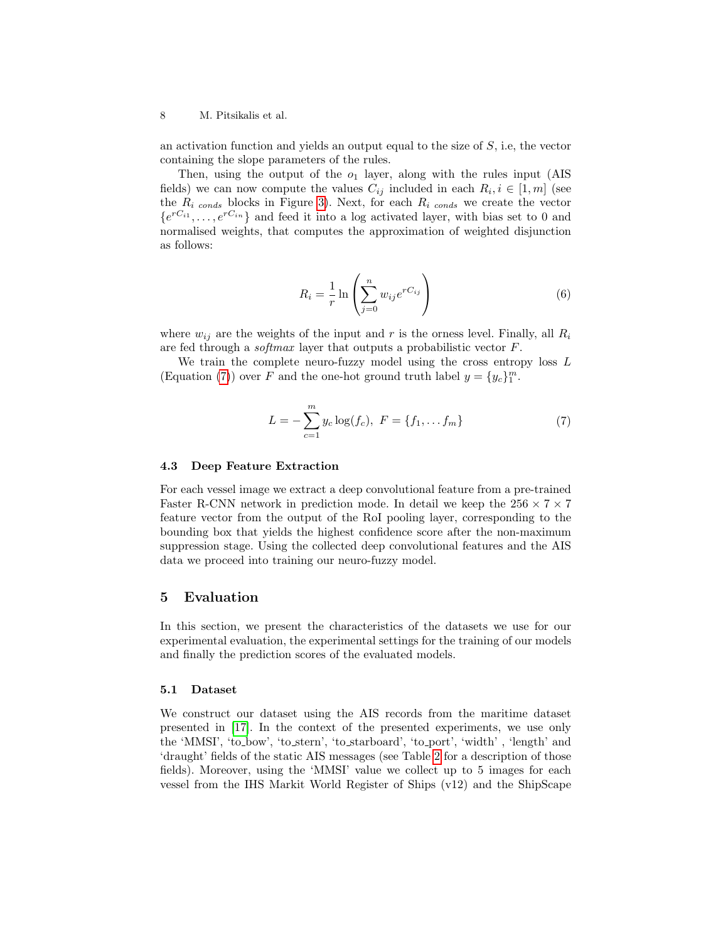an activation function and yields an output equal to the size of  $S$ , i.e, the vector containing the slope parameters of the rules.

Then, using the output of the  $o_1$  layer, along with the rules input (AIS fields) we can now compute the values  $C_{ij}$  included in each  $R_i, i \in [1, m]$  (see the  $R_i$  conds blocks in Figure [3\)](#page-6-1). Next, for each  $R_i$  conds we create the vector  ${e^{rC_{i1}}, \ldots, e^{rC_{in}}\}$  and feed it into a log activated layer, with bias set to 0 and normalised weights, that computes the approximation of weighted disjunction as follows:

$$
R_i = \frac{1}{r} \ln \left( \sum_{j=0}^{n} w_{ij} e^{rC_{ij}} \right)
$$
 (6)

where  $w_{ij}$  are the weights of the input and r is the orness level. Finally, all  $R_i$ are fed through a softmax layer that outputs a probabilistic vector F.

We train the complete neuro-fuzzy model using the cross entropy loss  $L$ (Equation [\(7\)](#page-7-1)) over F and the one-hot ground truth label  $y = \{y_c\}_{1}^{m}$ .

<span id="page-7-1"></span>
$$
L = -\sum_{c=1}^{m} y_c \log(f_c), \ F = \{f_1, \dots f_m\} \tag{7}
$$

#### <span id="page-7-2"></span>4.3 Deep Feature Extraction

For each vessel image we extract a deep convolutional feature from a pre-trained Faster R-CNN network in prediction mode. In detail we keep the  $256 \times 7 \times 7$ feature vector from the output of the RoI pooling layer, corresponding to the bounding box that yields the highest confidence score after the non-maximum suppression stage. Using the collected deep convolutional features and the AIS data we proceed into training our neuro-fuzzy model.

### <span id="page-7-0"></span>5 Evaluation

In this section, we present the characteristics of the datasets we use for our experimental evaluation, the experimental settings for the training of our models and finally the prediction scores of the evaluated models.

#### 5.1 Dataset

We construct our dataset using the AIS records from the maritime dataset presented in [\[17\]](#page-14-14). In the context of the presented experiments, we use only the 'MMSI', 'to bow', 'to stern', 'to starboard', 'to port', 'width' , 'length' and 'draught' fields of the static AIS messages (see Table [2](#page-8-0) for a description of those fields). Moreover, using the 'MMSI' value we collect up to 5 images for each vessel from the IHS Markit World Register of Ships (v12) and the ShipScape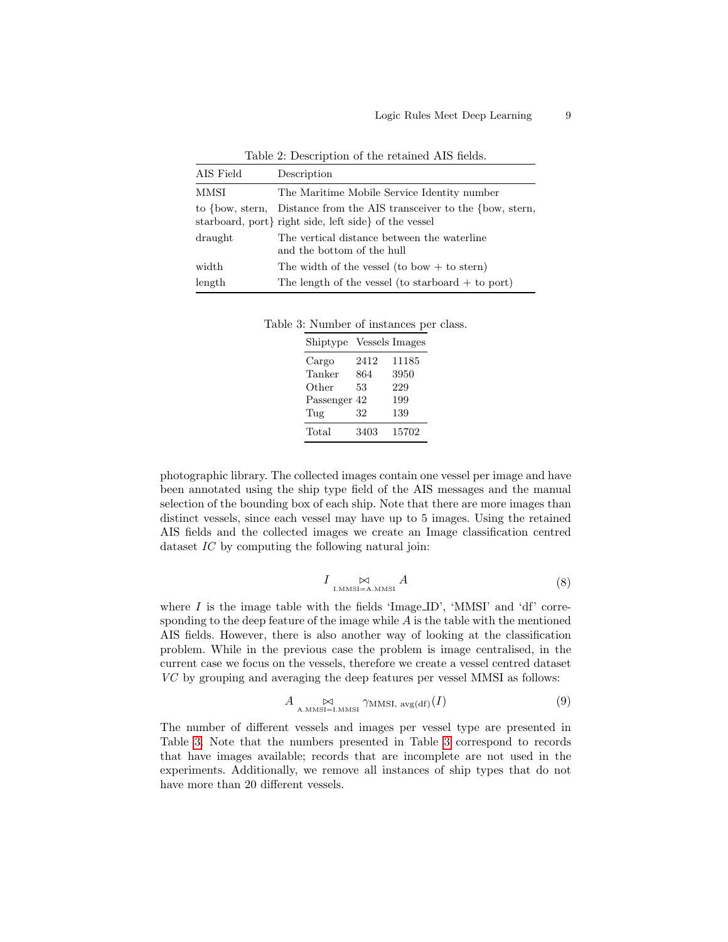<span id="page-8-0"></span>

| AIS Field | Description                                                                                                                  |
|-----------|------------------------------------------------------------------------------------------------------------------------------|
| MMSI      | The Maritime Mobile Service Identity number                                                                                  |
|           | to {bow, stern, Distance from the AIS transceiver to the {bow, stern,<br>starboard, port right side, left side of the vessel |
| draught   | The vertical distance between the waterline<br>and the bottom of the hull                                                    |
| width     | The width of the vessel (to bow $+$ to stern)                                                                                |
| length    | The length of the vessel (to starboard $+$ to port)                                                                          |

Table 2: Description of the retained AIS fields.

<span id="page-8-1"></span>Table 3: Number of instances per class.

| Shiptype     |      | Vessels Images |
|--------------|------|----------------|
| Cargo        | 2412 | 11185          |
| Tanker       | 864  | 3950           |
| Other        | 53   | 229            |
| Passenger 42 |      | 199            |
| Tug          | 32   | 139            |
| Total        | 3403 | 15702          |

photographic library. The collected images contain one vessel per image and have been annotated using the ship type field of the AIS messages and the manual selection of the bounding box of each ship. Note that there are more images than distinct vessels, since each vessel may have up to 5 images. Using the retained AIS fields and the collected images we create an Image classification centred dataset IC by computing the following natural join:

$$
I \underset{\text{LMMSI=A.MMSI}}{\bowtie} A \tag{8}
$$

where  $I$  is the image table with the fields 'Image ID', 'MMSI' and 'df' corresponding to the deep feature of the image while A is the table with the mentioned AIS fields. However, there is also another way of looking at the classification problem. While in the previous case the problem is image centralised, in the current case we focus on the vessels, therefore we create a vessel centred dataset VC by grouping and averaging the deep features per vessel MMSI as follows:

$$
A \underset{\text{A.MMSI} = \text{I.MMSI}}{\bowtie} \gamma_{\text{MMSI, avg(df)}}(I) \tag{9}
$$

The number of different vessels and images per vessel type are presented in Table [3.](#page-8-1) Note that the numbers presented in Table [3](#page-8-1) correspond to records that have images available; records that are incomplete are not used in the experiments. Additionally, we remove all instances of ship types that do not have more than 20 different vessels.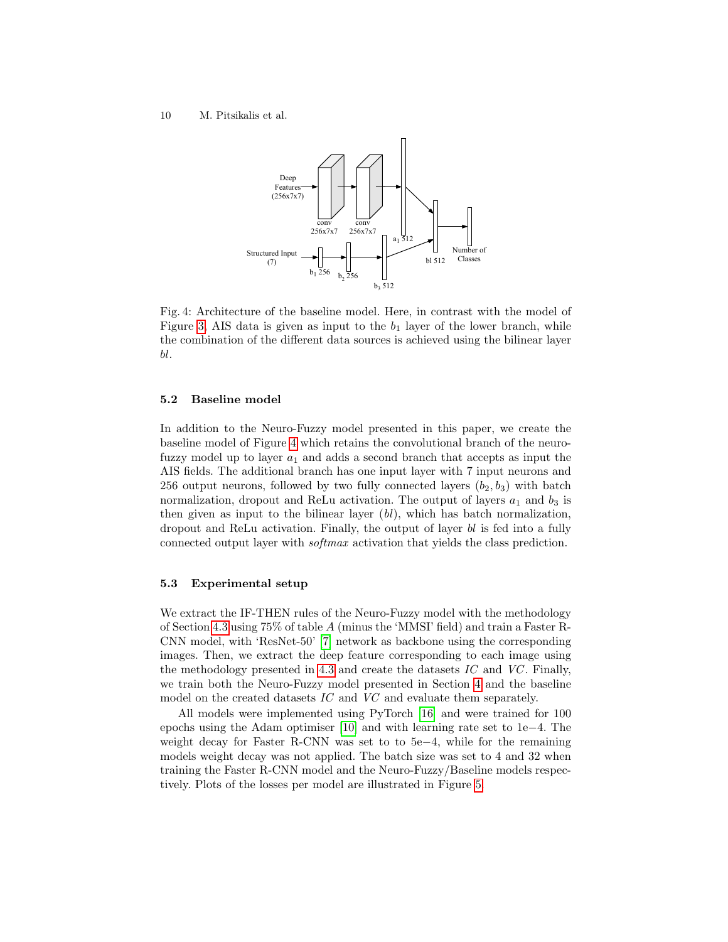<span id="page-9-0"></span>

Fig. 4: Architecture of the baseline model. Here, in contrast with the model of Figure [3,](#page-6-1) AIS data is given as input to the  $b_1$  layer of the lower branch, while the combination of the different data sources is achieved using the bilinear layer bl.

### 5.2 Baseline model

In addition to the Neuro-Fuzzy model presented in this paper, we create the baseline model of Figure [4](#page-9-0) which retains the convolutional branch of the neurofuzzy model up to layer  $a_1$  and adds a second branch that accepts as input the AIS fields. The additional branch has one input layer with 7 input neurons and 256 output neurons, followed by two fully connected layers  $(b_2, b_3)$  with batch normalization, dropout and ReLu activation. The output of layers  $a_1$  and  $b_3$  is then given as input to the bilinear layer  $(bl)$ , which has batch normalization, dropout and ReLu activation. Finally, the output of layer bl is fed into a fully connected output layer with softmax activation that yields the class prediction.

### 5.3 Experimental setup

We extract the IF-THEN rules of the Neuro-Fuzzy model with the methodology of Section [4.3](#page-7-2) using 75% of table A (minus the 'MMSI' field) and train a Faster R-CNN model, with 'ResNet-50' [\[7\]](#page-14-12) network as backbone using the corresponding images. Then, we extract the deep feature corresponding to each image using the methodology presented in [4.3](#page-7-2) and create the datasets  $IC$  and  $VC$ . Finally, we train both the Neuro-Fuzzy model presented in Section [4](#page-4-0) and the baseline model on the created datasets IC and VC and evaluate them separately.

All models were implemented using PyTorch [\[16\]](#page-14-15) and were trained for 100 epochs using the Adam optimiser [\[10\]](#page-14-16) and with learning rate set to 1e−4. The weight decay for Faster R-CNN was set to to 5e−4, while for the remaining models weight decay was not applied. The batch size was set to 4 and 32 when training the Faster R-CNN model and the Neuro-Fuzzy/Baseline models respectively. Plots of the losses per model are illustrated in Figure [5.](#page-10-0)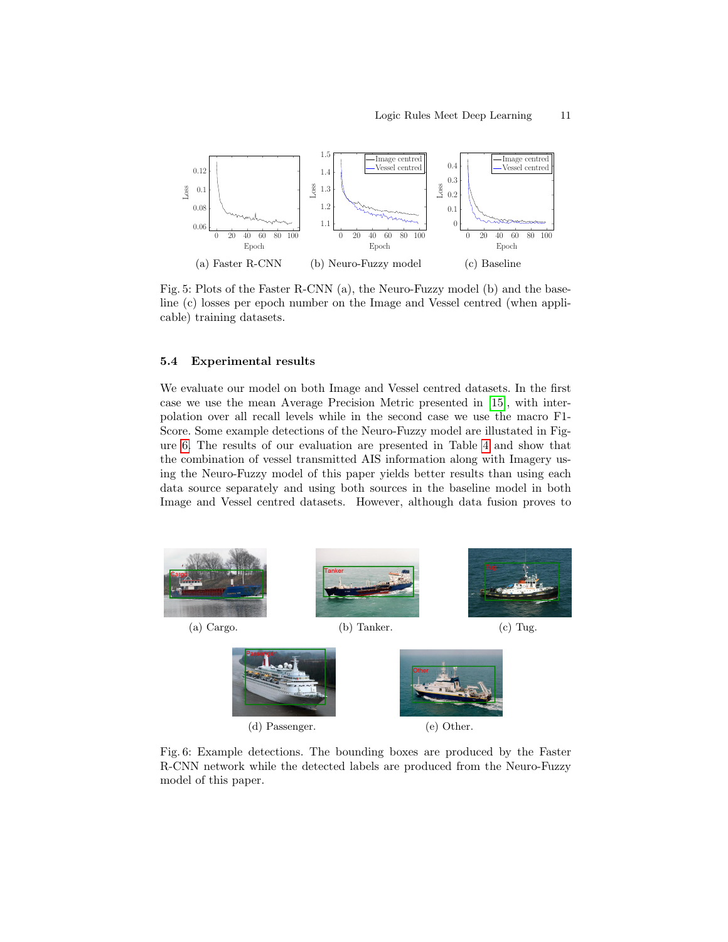<span id="page-10-0"></span>

Fig. 5: Plots of the Faster R-CNN (a), the Neuro-Fuzzy model (b) and the baseline (c) losses per epoch number on the Image and Vessel centred (when applicable) training datasets.

### 5.4 Experimental results

We evaluate our model on both Image and Vessel centred datasets. In the first case we use the mean Average Precision Metric presented in [\[15\]](#page-14-17), with interpolation over all recall levels while in the second case we use the macro F1- Score. Some example detections of the Neuro-Fuzzy model are illustated in Figure [6.](#page-10-1) The results of our evaluation are presented in Table [4](#page-11-0) and show that the combination of vessel transmitted AIS information along with Imagery using the Neuro-Fuzzy model of this paper yields better results than using each data source separately and using both sources in the baseline model in both Image and Vessel centred datasets. However, although data fusion proves to

<span id="page-10-1"></span>

Fig. 6: Example detections. The bounding boxes are produced by the Faster R-CNN network while the detected labels are produced from the Neuro-Fuzzy model of this paper.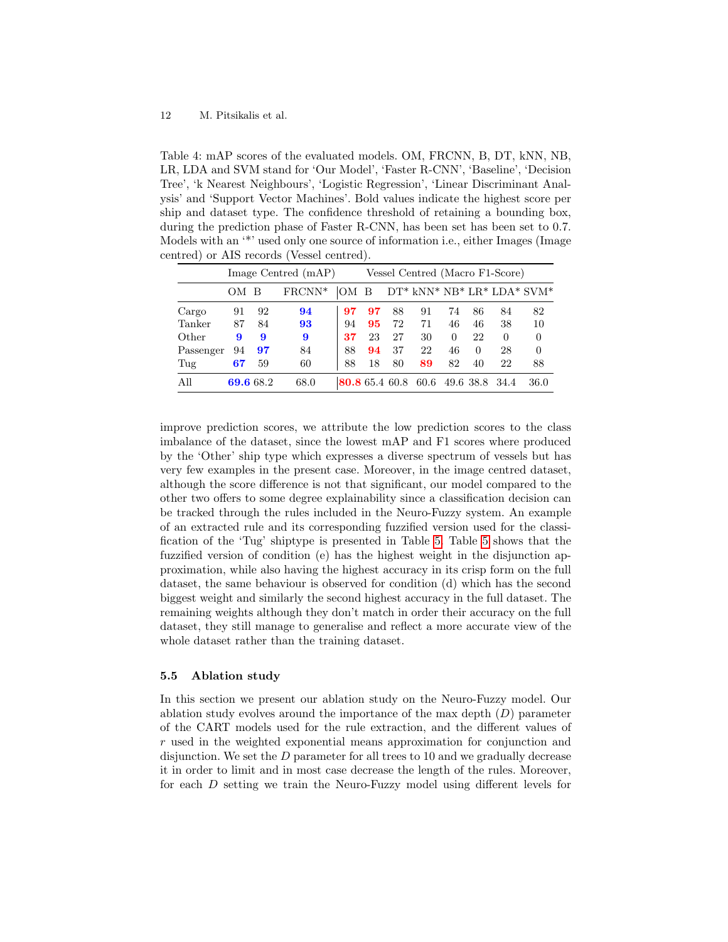<span id="page-11-0"></span>Table 4: mAP scores of the evaluated models. OM, FRCNN, B, DT, kNN, NB, LR, LDA and SVM stand for 'Our Model', 'Faster R-CNN', 'Baseline', 'Decision Tree', 'k Nearest Neighbours', 'Logistic Regression', 'Linear Discriminant Analysis' and 'Support Vector Machines'. Bold values indicate the highest score per ship and dataset type. The confidence threshold of retaining a bounding box, during the prediction phase of Faster R-CNN, has been set has been set to 0.7. Models with an '\*' used only one source of information i.e., either Images (Image centred) or AIS records (Vessel centred).

|           | Image Centred (mAP) |           |        | Vessel Centred (Macro F1-Score) |     |                |      |    |           |          |                                  |
|-----------|---------------------|-----------|--------|---------------------------------|-----|----------------|------|----|-----------|----------|----------------------------------|
|           | OM                  | -B        | FRCNN* | ЮM                              | - B |                |      |    |           |          | $DT^*$ kNN* NB* $LR^*$ LDA* SVM* |
| Cargo     | 91                  | 92        | 94     | 97                              | 97  | 88             | 91   | 74 | 86        | 84       | 82                               |
| Tanker    | 87                  | 84        | 93     | 94                              | 95  | 72             | 71   | 46 | 46        | 38       | 10                               |
| Other     | 9                   | 9         | 9      | 37                              | 23  | 27             | 30   | 0  | 22        | $\Omega$ | 0                                |
| Passenger | 94                  | 97        | 84     | 88                              | 94  | 37             | 22   | 46 | 0         | 28       | $\Omega$                         |
| Tug       | 67                  | 59        | 60     | 88                              | 18  | 80             | 89   | 82 | 40        | 22       | 88                               |
| All       |                     | 69.6 68.2 | 68.0   |                                 |     | 80.8 65.4 60.8 | 60.6 |    | 49.6 38.8 | -34.4    | 36.0                             |

improve prediction scores, we attribute the low prediction scores to the class imbalance of the dataset, since the lowest mAP and F1 scores where produced by the 'Other' ship type which expresses a diverse spectrum of vessels but has very few examples in the present case. Moreover, in the image centred dataset, although the score difference is not that significant, our model compared to the other two offers to some degree explainability since a classification decision can be tracked through the rules included in the Neuro-Fuzzy system. An example of an extracted rule and its corresponding fuzzified version used for the classification of the 'Tug' shiptype is presented in Table [5.](#page-12-0) Table [5](#page-12-0) shows that the fuzzified version of condition (e) has the highest weight in the disjunction approximation, while also having the highest accuracy in its crisp form on the full dataset, the same behaviour is observed for condition (d) which has the second biggest weight and similarly the second highest accuracy in the full dataset. The remaining weights although they don't match in order their accuracy on the full dataset, they still manage to generalise and reflect a more accurate view of the whole dataset rather than the training dataset.

### 5.5 Ablation study

In this section we present our ablation study on the Neuro-Fuzzy model. Our ablation study evolves around the importance of the max depth  $(D)$  parameter of the CART models used for the rule extraction, and the different values of r used in the weighted exponential means approximation for conjunction and disjunction. We set the  $D$  parameter for all trees to 10 and we gradually decrease it in order to limit and in most case decrease the length of the rules. Moreover, for each D setting we train the Neuro-Fuzzy model using different levels for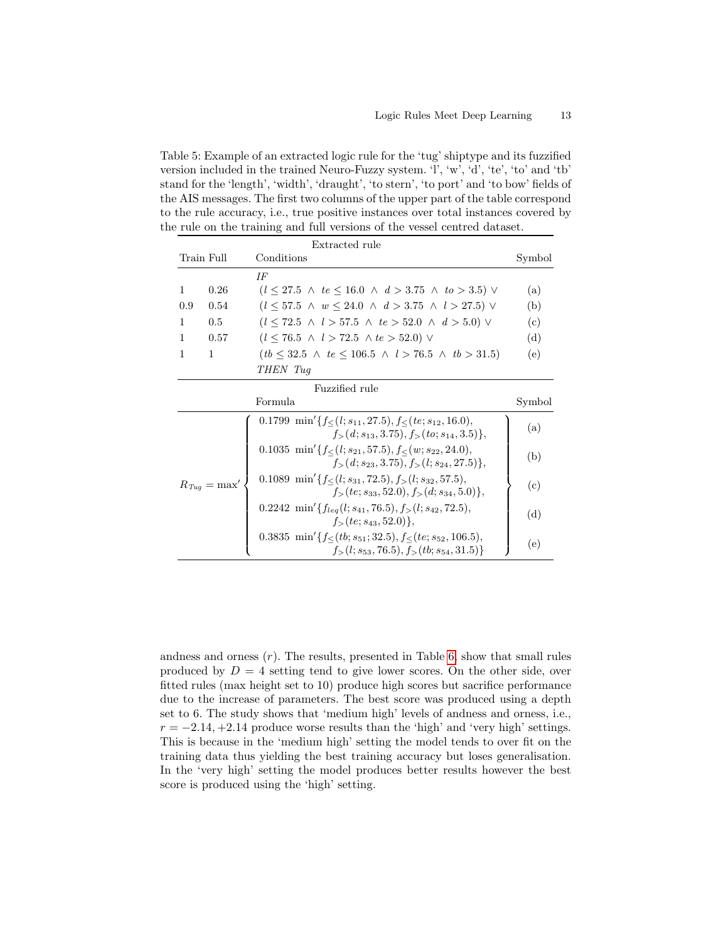<span id="page-12-0"></span>Table 5: Example of an extracted logic rule for the 'tug' shiptype and its fuzzified version included in the trained Neuro-Fuzzy system. 'l', 'w', 'd', 'te', 'to' and 'tb' stand for the 'length', 'width', 'draught', 'to stern', 'to port' and 'to bow' fields of the AIS messages. The first two columns of the upper part of the table correspond to the rule accuracy, i.e., true positive instances over total instances covered by the rule on the training and full versions of the vessel centred dataset.

|                |                   | Extracted rule                                                                                                                        |        |  |  |
|----------------|-------------------|---------------------------------------------------------------------------------------------------------------------------------------|--------|--|--|
| Train Full     |                   | Conditions                                                                                                                            | Symbol |  |  |
|                |                   | IF                                                                                                                                    |        |  |  |
| 1              | 0.26              | $(l \leq 27.5 \ \land \ te \leq 16.0 \ \land \ d > 3.75 \ \land \ to > 3.5) \ \lor$                                                   | (a)    |  |  |
| 0.9            | 0.54              | $(l \leq 57.5 \ \land \ w \leq 24.0 \ \land \ d > 3.75 \ \land \ l > 27.5) \ \lor$                                                    | (b)    |  |  |
| 1              | 0.5               | $(l \leq 72.5 \land l > 57.5 \land te > 52.0 \land d > 5.0) \lor$                                                                     | (c)    |  |  |
| 1              | 0.57              | $(l \le 76.5 \land l > 72.5 \land te > 52.0) \lor$                                                                                    | (d)    |  |  |
| 1              | $\mathbf{1}$      | $(tb \leq 32.5 \land t e \leq 106.5 \land l > 76.5 \land t b > 31.5)$                                                                 | (e)    |  |  |
|                |                   | THEN Tug                                                                                                                              |        |  |  |
| Fuzzified rule |                   |                                                                                                                                       |        |  |  |
|                |                   | Formula                                                                                                                               | Symbol |  |  |
|                |                   | 0.1799 min'{ $f_<(l; s_{11}, 27.5)$ , $f_<(te; s_{12}, 16.0)$ ,<br>$f_>(d;s_{13},3.75), f_>(to;s_{14},3.5)).$                         | (a)    |  |  |
|                |                   | 0.1035 min'{ $f<(l; s_{21}, 57.5), f<(w; s_{22}, 24.0),$<br>$f_>(d;s_{23},3.75), f_>(l;s_{24},27.5)).$                                | (b)    |  |  |
|                | $R_{Tug} = \max'$ | 0.1089 min'{ $f_<(l; s_{31}, 72.5)$ , $f_>(l; s_{32}, 57.5)$ ,<br>$f_>(te; s_{33}, 52.0), f_>(d; s_{34}, 5.0)),$                      | (c)    |  |  |
|                |                   | 0.2242 min'{ $f_{leq}(l; s_{41}, 76.5)$ , $f_{>}(l; s_{42}, 72.5)$ ,<br>$f_>(te; s_{43}, 52.0)$ ,                                     | (d)    |  |  |
|                |                   | 0.3835 min'{ $f<$ (tb; s <sub>51</sub> ; 32.5), $f<$ (te; s <sub>52</sub> , 106.5),<br>$f_>(l; s_{53}, 76.5), f_>(tb; s_{54}, 31.5))$ | (e)    |  |  |

andness and orness  $(r)$ . The results, presented in Table [6,](#page-13-3) show that small rules produced by  $D = 4$  setting tend to give lower scores. On the other side, over fitted rules (max height set to 10) produce high scores but sacrifice performance due to the increase of parameters. The best score was produced using a depth set to 6. The study shows that 'medium high' levels of andness and orness, i.e.,  $r = -2.14, +2.14$  produce worse results than the 'high' and 'very high' settings. This is because in the 'medium high' setting the model tends to over fit on the training data thus yielding the best training accuracy but loses generalisation. In the 'very high' setting the model produces better results however the best score is produced using the 'high' setting.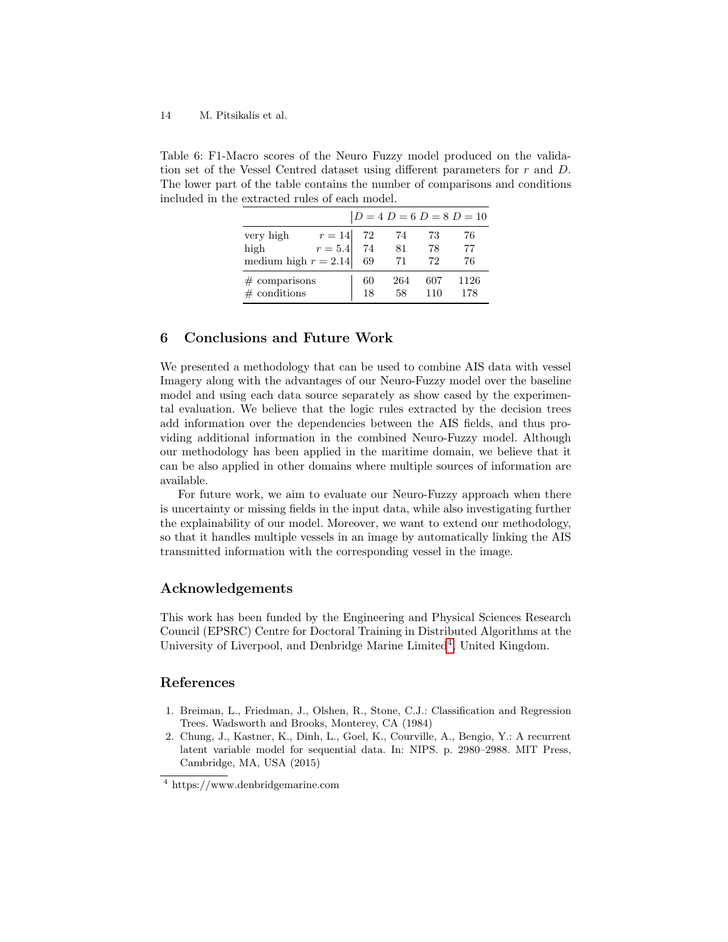<span id="page-13-3"></span>Table 6: F1-Macro scores of the Neuro Fuzzy model produced on the validation set of the Vessel Centred dataset using different parameters for r and D. The lower part of the table contains the number of comparisons and conditions included in the extracted rules of each model.

|                                                                    |                  |                |                | $D = 4$ $D = 6$ $D = 8$ $D = 10$ |
|--------------------------------------------------------------------|------------------|----------------|----------------|----------------------------------|
| $r=14$<br>very high<br>$r = 5.4$<br>high<br>medium high $r = 2.14$ | - 72<br>74<br>69 | 74<br>81<br>71 | 73<br>78<br>72 | 76<br>76                         |
| $#$ comparisons<br>$\#$ conditions                                 | 60<br>18         | 264<br>58      | 607<br>110     | 1126<br>178                      |

# <span id="page-13-0"></span>6 Conclusions and Future Work

We presented a methodology that can be used to combine AIS data with vessel Imagery along with the advantages of our Neuro-Fuzzy model over the baseline model and using each data source separately as show cased by the experimental evaluation. We believe that the logic rules extracted by the decision trees add information over the dependencies between the AIS fields, and thus providing additional information in the combined Neuro-Fuzzy model. Although our methodology has been applied in the maritime domain, we believe that it can be also applied in other domains where multiple sources of information are available.

For future work, we aim to evaluate our Neuro-Fuzzy approach when there is uncertainty or missing fields in the input data, while also investigating further the explainability of our model. Moreover, we want to extend our methodology, so that it handles multiple vessels in an image by automatically linking the AIS transmitted information with the corresponding vessel in the image.

# Acknowledgements

This work has been funded by the Engineering and Physical Sciences Research Council (EPSRC) Centre for Doctoral Training in Distributed Algorithms at the University of Liverpool, and Denbridge Marine Limited<sup>[4](#page-13-4)</sup>, United Kingdom.

# References

- <span id="page-13-2"></span>1. Breiman, L., Friedman, J., Olshen, R., Stone, C.J.: Classification and Regression Trees. Wadsworth and Brooks, Monterey, CA (1984)
- <span id="page-13-1"></span>2. Chung, J., Kastner, K., Dinh, L., Goel, K., Courville, A., Bengio, Y.: A recurrent latent variable model for sequential data. In: NIPS. p. 2980–2988. MIT Press, Cambridge, MA, USA (2015)

<span id="page-13-4"></span><sup>4</sup> https://www.denbridgemarine.com